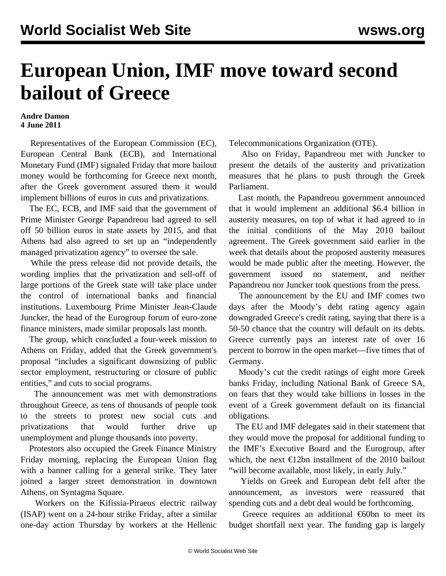## **European Union, IMF move toward second bailout of Greece**

## **Andre Damon 4 June 2011**

 Representatives of the European Commission (EC), European Central Bank (ECB), and International Monetary Fund (IMF) signaled Friday that more bailout money would be forthcoming for Greece next month, after the Greek government assured them it would implement billions of euros in cuts and privatizations.

 The EC, ECB, and IMF said that the government of Prime Minister George Papandreou had agreed to sell off 50 billion euros in state assets by 2015, and that Athens had also agreed to set up an "independently managed privatization agency" to oversee the sale.

 While the press release did not provide details, the wording implies that the privatization and sell-off of large portions of the Greek state will take place under the control of international banks and financial institutions. Luxembourg Prime Minister Jean-Claude Juncker, the head of the Eurogroup forum of euro-zone finance ministers, made similar proposals last month.

 The group, which concluded a four-week mission to Athens on Friday, added that the Greek government's proposal "includes a significant downsizing of public sector employment, restructuring or closure of public entities," and cuts to social programs.

 The announcement was met with demonstrations throughout Greece, as tens of thousands of people took to the streets to protest new social cuts and privatizations that would further drive up unemployment and plunge thousands into poverty.

 Protestors also occupied the Greek Finance Ministry Friday morning, replacing the European Union flag with a banner calling for a general strike. They later joined a larger street demonstration in downtown Athens, on Syntagma Square.

 Workers on the Kifissia-Piraeus electric railway (ISAP) went on a 24-hour strike Friday, after a similar one-day action Thursday by workers at the Hellenic Telecommunications Organization (OTE).

 Also on Friday, Papandreou met with Juncker to present the details of the austerity and privatization measures that he plans to push through the Greek Parliament.

 Last month, the Papandreou government announced that it would implement an additional \$6.4 billion in austerity measures, on top of what it had agreed to in the initial conditions of the May 2010 bailout agreement. The Greek government said earlier in the week that details about the proposed austerity measures would be made public after the meeting. However, the government issued no statement, and neither Papandreou nor Juncker took questions from the press.

 The announcement by the EU and IMF comes two days after the Moody's debt rating agency again downgraded Greece's credit rating, saying that there is a 50-50 chance that the country will default on its debts. Greece currently pays an interest rate of over 16 percent to borrow in the open market—five times that of Germany.

 Moody's cut the credit ratings of eight more Greek banks Friday, including National Bank of Greece SA, on fears that they would take billions in losses in the event of a Greek government default on its financial obligations.

 The EU and IMF delegates said in their statement that they would move the proposal for additional funding to the IMF's Executive Board and the Eurogroup, after which, the next  $\epsilon$ 12bn installment of the 2010 bailout "will become available, most likely, in early July."

 Yields on Greek and European debt fell after the announcement, as investors were reassured that spending cuts and a debt deal would be forthcoming.

Greece requires an additional  $\epsilon$ 60bn to meet its budget shortfall next year. The funding gap is largely